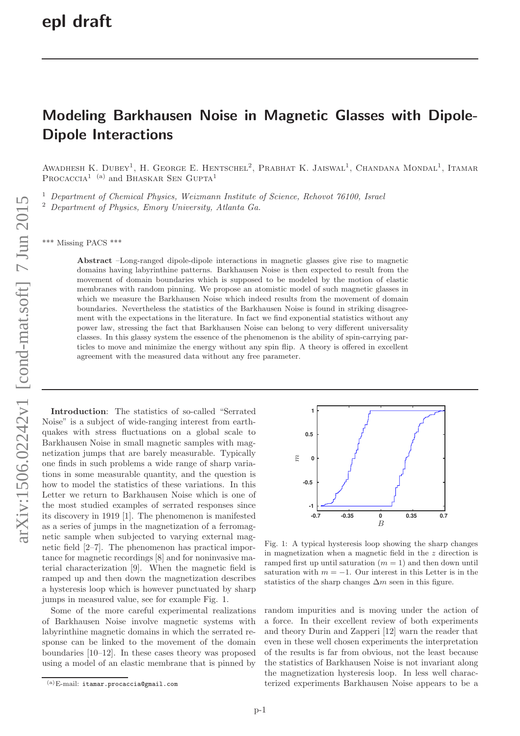## Modeling Barkhausen Noise in Magnetic Glasses with Dipole-Dipole Interactions

AWADHESH K. DUBEY<sup>1</sup>, H. GEORGE E. HENTSCHEL<sup>2</sup>, PRABHAT K. JAISWAL<sup>1</sup>, CHANDANA MONDAL<sup>1</sup>, ITAMAR PROCACCIA<sup>1</sup> <sup>(a)</sup> and BHASKAR SEN GUPTA<sup>1</sup>

<sup>1</sup> Department of Chemical Physics, Weizmann Institute of Science, Rehovot 76100, Israel <sup>2</sup> Department of Physics, Emory University, Atlanta Ga.

\*\*\* Missing PACS \*\*\*

Abstract –Long-ranged dipole-dipole interactions in magnetic glasses give rise to magnetic domains having labyrinthine patterns. Barkhausen Noise is then expected to result from the movement of domain boundaries which is supposed to be modeled by the motion of elastic membranes with random pinning. We propose an atomistic model of such magnetic glasses in which we measure the Barkhausen Noise which indeed results from the movement of domain boundaries. Nevertheless the statistics of the Barkhausen Noise is found in striking disagreement with the expectations in the literature. In fact we find exponential statistics without any power law, stressing the fact that Barkhausen Noise can belong to very different universality classes. In this glassy system the essence of the phenomenon is the ability of spin-carrying particles to move and minimize the energy without any spin flip. A theory is offered in excellent agreement with the measured data without any free parameter .

Introduction: The statistics of so-called "Serrated Noise" is a subject of wide-ranging interest from earthquakes with stress fluctuations on a global scale to Barkhausen Noise in small magnetic samples with magnetization jumps that are barely measurable. Typically one finds in such problems a wide range of sharp variations in some measurable quantity, and the question is how to model the statistics of these variations. In this Letter we return to Barkhausen Noise which is one of the most studied examples of serrated responses since its discovery in 1919 [1]. The phenomenon is manifested as a series of jumps in the magnetization of a ferromagnetic sample when subjected to varying external magnetic field [2–7]. The phenomenon has practical importance for magnetic recordings [8] and for noninvasive material characterization [9]. When the magnetic field is ramped up and then down the magnetization describes a hysteresis loop which is however punctuated by sharp jumps in measured value, see for example Fig. 1.

Some of the more careful experimental realizations of Barkhausen Noise involve magnetic systems with labyrinthine magnetic domains in which the serrated response can be linked to the movement of the domain boundaries [10–12]. In these cases theory was proposed using a model of an elastic membrane that is pinned by



Fig. 1: A typical hysteresis loop showing the sharp changes in magnetization when a magnetic field in the z direction is ramped first up until saturation  $(m = 1)$  and then down until saturation with  $m = -1$ . Our interest in this Letter is in the statistics of the sharp changes  $\Delta m$  seen in this figure.

random impurities and is moving under the action of a force. In their excellent review of both experiments and theory Durin and Zapperi [12] warn the reader that even in these well chosen experiments the interpretation of the results is far from obvious, not the least because the statistics of Barkhausen Noise is not invariant along the magnetization hysteresis loop. In less well characterized experiments Barkhausen Noise appears to be a

 $(a)$ E-mail: itamar.procaccia@gmail.com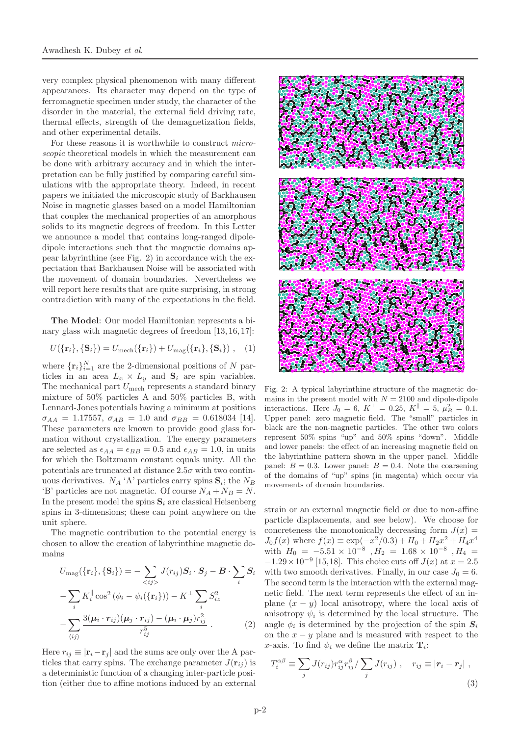very complex physical phenomenon with many different appearances. Its character may depend on the type of ferromagnetic specimen under study, the character of the disorder in the material, the external field driving rate, thermal effects, strength of the demagnetization fields, and other experimental details.

For these reasons it is worthwhile to construct microscopic theoretical models in which the measurement can be done with arbitrary accuracy and in which the interpretation can be fully justified by comparing careful simulations with the appropriate theory. Indeed, in recent papers we initiated the microscopic study of Barkhausen Noise in magnetic glasses based on a model Hamiltonian that couples the mechanical properties of an amorphous solids to its magnetic degrees of freedom. In this Letter we announce a model that contains long-ranged dipoledipole interactions such that the magnetic domains appear labyrinthine (see Fig. 2) in accordance with the expectation that Barkhausen Noise will be associated with the movement of domain boundaries. Nevertheless we will report here results that are quite surprising, in strong contradiction with many of the expectations in the field.

The Model: Our model Hamiltonian represents a binary glass with magnetic degrees of freedom [13, 16, 17]:

$$
U(\{\mathbf{r}_i\},\{\mathbf{S}_i\}) = U_{\text{mech}}(\{\mathbf{r}_i\}) + U_{\text{mag}}(\{\mathbf{r}_i\},\{\mathbf{S}_i\})\,,\quad(1)
$$

where  $\{\mathbf{r}_i\}_{i=1}^N$  are the 2-dimensional positions of N particles in an area  $L_x \times L_y$  and  $S_i$  are spin variables. The mechanical part  $U_{\text{mech}}$  represents a standard binary mixture of 50% particles A and 50% particles B, with Lennard-Jones potentials having a minimum at positions  $\sigma_{AA} = 1.17557, \sigma_{AB} = 1.0$  and  $\sigma_{BB} = 0.618034$  [14]. These parameters are known to provide good glass formation without crystallization. The energy parameters are selected as  $\epsilon_{AA} = \epsilon_{BB} = 0.5$  and  $\epsilon_{AB} = 1.0$ , in units for which the Boltzmann constant equals unity. All the potentials are truncated at distance  $2.5\sigma$  with two continuous derivatives.  $N_A \, {}^{\iota} \Lambda$ ' particles carry spins  $S_i$ ; the  $N_B$ 'B' particles are not magnetic. Of course  $N_A + N_B = N$ . In the present model the spins  $S_i$  are classical Heisenberg spins in 3-dimensions; these can point anywhere on the unit sphere.

The magnetic contribution to the potential energy is chosen to allow the creation of labyrinthine magnetic domains

$$
U_{\text{mag}}(\{\mathbf{r}_i\}, \{\mathbf{S}_i\}) = -\sum_{} J(r_{ij}) \mathbf{S}_i \cdot \mathbf{S}_j - \mathbf{B} \cdot \sum_i \mathbf{S}_i
$$

$$
-\sum_i K_i^{\parallel} \cos^2 (\phi_i - \psi_i(\{\mathbf{r}_i\})) - K^{\perp} \sum_i S_{iz}^2
$$

$$
-\sum_{\langle ij \rangle} \frac{3(\mu_i \cdot r_{ij})(\mu_j \cdot r_{ij}) - (\mu_i \cdot \mu_j) r_{ij}^2}{r_{ij}^5} \,. \tag{2}
$$

Here  $r_{ij} \equiv |\mathbf{r}_i - \mathbf{r}_j|$  and the sums are only over the A particles that carry spins. The exchange parameter  $J(\mathbf{r}_{ij})$  is a deterministic function of a changing inter-particle position (either due to affine motions induced by an external



Fig. 2: A typical labyrinthine structure of the magnetic domains in the present model with  $N = 2100$  and dipole-dipole interactions. Here  $J_0 = 6$ ,  $K^{\perp} = 0.25$ ,  $K^{\parallel} = 5$ ,  $\mu_B^2 = 0.1$ . Upper panel: zero magnetic field. The "small" particles in black are the non-magnetic particles. The other two colors represent 50% spins "up" and 50% spins "down". Middle and lower panels: the effect of an increasing magnetic field on the labyrinthine pattern shown in the upper panel. Middle panel:  $B = 0.3$ . Lower panel:  $B = 0.4$ . Note the coarsening of the domains of "up" spins (in magenta) which occur via movements of domain boundaries.

strain or an external magnetic field or due to non-affine particle displacements, and see below). We choose for concreteness the monotonically decreasing form  $J(x) =$  $J_0 f(x)$  where  $f(x) \equiv \exp(-x^2/0.3) + H_0 + H_2 x^2 + H_4 x^4$ with  $H_0 = -5.51 \times 10^{-8}$  ,  $H_2 = 1.68 \times 10^{-8}$  ,  $H_4 =$  $-1.29 \times 10^{-9}$  [15,18]. This choice cuts off  $J(x)$  at  $x = 2.5$ with two smooth derivatives. Finally, in our case  $J_0 = 6$ . The second term is the interaction with the external magnetic field. The next term represents the effect of an inplane  $(x - y)$  local anisotropy, where the local axis of anisotropy  $\psi_i$  is determined by the local structure. The angle  $\phi_i$  is determined by the projection of the spin  $S_i$ on the  $x - y$  plane and is measured with respect to the x-axis. To find  $\psi_i$  we define the matrix  $\mathbf{T}_i$ :

$$
T_i^{\alpha\beta} \equiv \sum_j J(r_{ij}) r_{ij}^{\alpha} r_{ij}^{\beta} / \sum_j J(r_{ij}) , \quad r_{ij} \equiv |\mathbf{r}_i - \mathbf{r}_j| ,
$$
\n(3)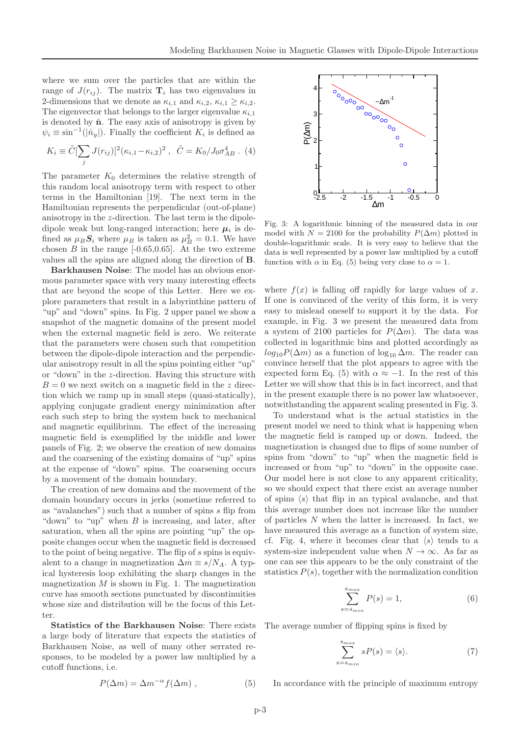where we sum over the particles that are within the range of  $J(r_{ij})$ . The matrix  $\mathbf{T}_i$  has two eigenvalues in 2-dimensions that we denote as  $\kappa_{i,1}$  and  $\kappa_{i,2}, \kappa_{i,1} \geq \kappa_{i,2}$ . The eigenvector that belongs to the larger eigenvalue  $\kappa_{i,1}$ is denoted by  $\hat{\mathbf{n}}$ . The easy axis of anisotropy is given by  $\psi_i \equiv \sin^{-1}(|\hat{n}_y|)$ . Finally the coefficient  $K_i$  is defined as

$$
K_i \equiv \tilde{C}[\sum_j J(r_{ij})]^2 (\kappa_{i,1} - \kappa_{i,2})^2 , \quad \tilde{C} = K_0 / J_0 \sigma_{AB}^4 . \tag{4}
$$

The parameter  $K_0$  determines the relative strength of this random local anisotropy term with respect to other terms in the Hamiltonian [19]. The next term in the Hamiltonian represents the perpendicular (out-of-plane) anisotropy in the z-direction. The last term is the dipoledipole weak but long-ranged interaction; here  $\mu_i$  is defined as  $\mu_B S_i$  where  $\mu_B$  is taken as  $\mu_B^2 = 0.1$ . We have chosen  $B$  in the range  $[-0.65, 0.65]$ . At the two extreme values all the spins are aligned along the direction of B.

Barkhausen Noise: The model has an obvious enormous parameter space with very many interesting effects that are beyond the scope of this Letter. Here we explore parameters that result in a labyrinthine pattern of "up" and "down" spins. In Fig. 2 upper panel we show a snapshot of the magnetic domains of the present model when the external magnetic field is zero. We reiterate that the parameters were chosen such that competition between the dipole-dipole interaction and the perpendicular anisotropy result in all the spins pointing either "up" or "down" in the z-direction. Having this structure with  $B = 0$  we next switch on a magnetic field in the z direction which we ramp up in small steps (quasi-statically), applying conjugate gradient energy minimization after each such step to bring the system back to mechanical and magnetic equilibrium. The effect of the increasing magnetic field is exemplified by the middle and lower panels of Fig. 2; we observe the creation of new domains and the coarsening of the existing domains of "up" spins at the expense of "down" spins. The coarsening occurs by a movement of the domain boundary.

The creation of new domains and the movement of the domain boundary occurs in jerks (sometime referred to as "avalanches") such that a number of spins s flip from "down" to "up" when  $B$  is increasing, and later, after saturation, when all the spins are pointing "up" the opposite changes occur when the magnetic field is decreased to the point of being negative. The flip of s spins is equivalent to a change in magnetization  $\Delta m \equiv s/N_A$ . A typical hysteresis loop exhibiting the sharp changes in the magnetization  $M$  is shown in Fig. 1. The magnetization curve has smooth sections punctuated by discontinuities whose size and distribution will be the focus of this Letter.

Statistics of the Barkhausen Noise: There exists a large body of literature that expects the statistics of Barkhausen Noise, as well of many other serrated responses, to be modeled by a power law multiplied by a cutoff functions, i.e.

$$
P(\Delta m) = \Delta m^{-\alpha} f(\Delta m) , \qquad (5)
$$



Fig. 3: A logarithmic binning of the measured data in our model with  $N = 2100$  for the probability  $P(\Delta m)$  plotted in double-logarithmic scale. It is very easy to believe that the data is well represented by a power law multiplied by a cutoff function with  $\alpha$  in Eq. (5) being very close to  $\alpha = 1$ .

where  $f(x)$  is falling off rapidly for large values of x. If one is convinced of the verity of this form, it is very easy to mislead oneself to support it by the data. For example, in Fig. 3 we present the measured data from a system of 2100 particles for  $P(\Delta m)$ . The data was collected in logarithmic bins and plotted accordingly as  $log_{10}P(\Delta m)$  as a function of  $log_{10}\Delta m$ . The reader can convince herself that the plot appears to agree with the expected form Eq. (5) with  $\alpha \approx -1$ . In the rest of this Letter we will show that this is in fact incorrect, and that in the present example there is no power law whatsoever, notwithstanding the apparent scaling presented in Fig. 3.

To understand what is the actual statistics in the present model we need to think what is happening when the magnetic field is ramped up or down. Indeed, the magnetization is changed due to flips of some number of spins from "down" to "up" when the magnetic field is increased or from "up" to "down" in the opposite case. Our model here is not close to any apparent criticality, so we should expect that there exist an average number of spins  $\langle s \rangle$  that flip in an typical avalanche, and that this average number does not increase like the number of particles N when the latter is increased. In fact, we have measured this average as a function of system size, cf. Fig. 4, where it becomes clear that  $\langle s \rangle$  tends to a system-size independent value when  $N \to \infty$ . As far as one can see this appears to be the only constraint of the statistics  $P(s)$ , together with the normalization condition

$$
\sum_{s=s_{min}}^{s_{max}} P(s) = 1,\tag{6}
$$

The average number of flipping spins is fixed by

$$
\sum_{s=s_{min}}^{s_{max}} sP(s) = \langle s \rangle.
$$
 (7)

In accordance with the principle of maximum entropy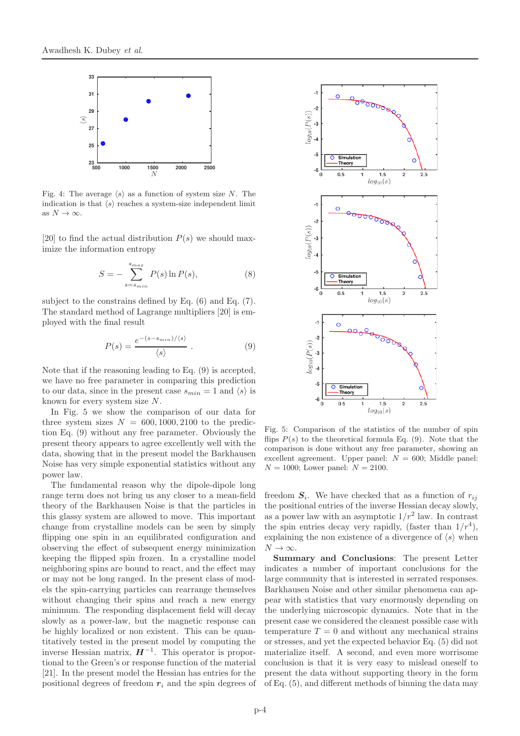

Fig. 4: The average  $\langle s \rangle$  as a function of system size N. The indication is that  $\langle s \rangle$  reaches a system-size independent limit as  $N \to \infty$ .

[20] to find the actual distribution  $P(s)$  we should maximize the information entropy

$$
S = -\sum_{s=s_{min}}^{s_{max}} P(s) \ln P(s),\tag{8}
$$

subject to the constrains defined by Eq. (6) and Eq. (7). The standard method of Lagrange multipliers [20] is employed with the final result

$$
P(s) = \frac{e^{-(s - s_{min})/\langle s \rangle}}{\langle s \rangle} . \tag{9}
$$

Note that if the reasoning leading to Eq. (9) is accepted, we have no free parameter in comparing this prediction to our data, since in the present case  $s_{min} = 1$  and  $\langle s \rangle$  is known for every system size N.

In Fig. 5 we show the comparison of our data for three system sizes  $N = 600, 1000, 2100$  to the prediction Eq. (9) without any free parameter. Obviously the present theory appears to agree excellently well with the data, showing that in the present model the Barkhausen Noise has very simple exponential statistics without any power law.

The fundamental reason why the dipole-dipole long range term does not bring us any closer to a mean-field theory of the Barkhausen Noise is that the particles in this glassy system are allowed to move. This important change from crystalline models can be seen by simply flipping one spin in an equilibrated configuration and observing the effect of subsequent energy minimization keeping the flipped spin frozen. In a crystalline model neighboring spins are bound to react, and the effect may or may not be long ranged. In the present class of models the spin-carrying particles can rearrange themselves without changing their spins and reach a new energy minimum. The responding displacement field will decay slowly as a power-law, but the magnetic response can be highly localized or non existent. This can be quantitatively tested in the present model by computing the inverse Hessian matrix,  $H^{-1}$ . This operator is proportional to the Green's or response function of the material [21]. In the present model the Hessian has entries for the positional degrees of freedom  $r_i$  and the spin degrees of



Fig. 5: Comparison of the statistics of the number of spin flips  $P(s)$  to the theoretical formula Eq. (9). Note that the comparison is done without any free parameter, showing an excellent agreement. Upper panel:  $N = 600$ ; Middle panel:  $N = 1000$ ; Lower panel:  $N = 2100$ .

freedom  $S_i$ . We have checked that as a function of  $r_{ij}$ the positional entries of the inverse Hessian decay slowly, as a power law with an asymptotic  $1/r^2$  law. In contrast the spin entries decay very rapidly, (faster than  $1/r^4$ ), explaining the non existence of a divergence of  $\langle s \rangle$  when  $N \to \infty$ .

Summary and Conclusions: The present Letter indicates a number of important conclusions for the large community that is interested in serrated responses. Barkhausen Noise and other similar phenomena can appear with statistics that vary enormously depending on the underlying microscopic dynamics. Note that in the present case we considered the cleanest possible case with temperature  $T = 0$  and without any mechanical strains or stresses, and yet the expected behavior Eq. (5) did not materialize itself. A second, and even more worrisome conclusion is that it is very easy to mislead oneself to present the data without supporting theory in the form of Eq. (5), and different methods of binning the data may